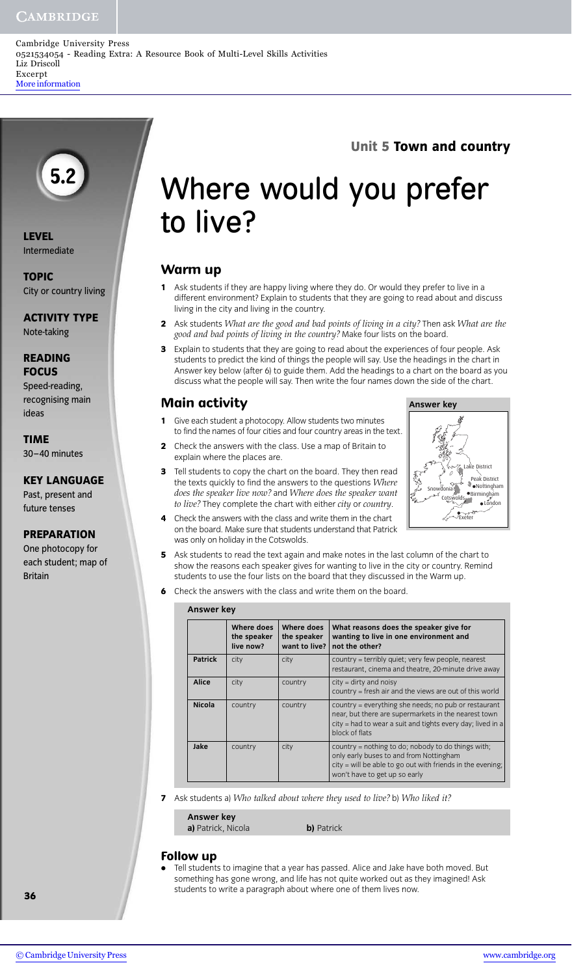### **CAMBRIDGE**

# **5.2**

**LEVEL** Intermediate

**TOPIC** City or country living

**ACTIVITY TYPE** Note-taking

#### **READING FOCUS**

Speed-reading, recognising main ideas

### **TIME**

30–40 minutes

### **KEY LANGUAGE**

Past, present and future tenses

### **PREPARATION**

One photocopy for each student; map of Britain

# Where would you prefer to live?

**Unit 5 Town and country**

Exeter

Cotswolds Snowdonia

**Answer key**

London Birmingham Nottingham

strict

**R**eak District

# **Warm up**

- **1** Ask students if they are happy living where they do. Or would they prefer to live in a different environment? Explain to students that they are going to read about and discuss living in the city and living in the country.
- **2** Ask students *What are the good and bad points of living in a city?* Then ask *What are the good and bad points of living in the country?* Make four lists on the board.
- **3** Explain to students that they are going to read about the experiences of four people. Ask students to predict the kind of things the people will say. Use the headings in the chart in Answer key below (after 6) to guide them. Add the headings to a chart on the board as you discuss what the people will say. Then write the four names down the side of the chart.

# **Main activity**

- **1** Give each student a photocopy. Allow students two minutes to find the names of four cities and four country areas in the text.
- **2** Check the answers with the class. Use a map of Britain to explain where the places are.
- **3** Tell students to copy the chart on the board. They then read the texts quickly to find the answers to the questions *Where does the speaker live now?* and *Where does the speaker want to live?* They complete the chart with either *city* or *country*.
- **4** Check the answers with the class and write them in the chart on the board. Make sure that students understand that Patrick was only on holiday in the Cotswolds.
- **5** Ask students to read the text again and make notes in the last column of the chart to show the reasons each speaker gives for wanting to live in the city or country. Remind students to use the four lists on the board that they discussed in the Warm up.
- **6** Check the answers with the class and write them on the board.

| <b>Answer key</b> |                                        |                                                |                                                                                                                                                                                              |
|-------------------|----------------------------------------|------------------------------------------------|----------------------------------------------------------------------------------------------------------------------------------------------------------------------------------------------|
|                   | Where does<br>the speaker<br>live now? | Where does<br>the speaker<br>want to live? $ $ | What reasons does the speaker give for<br>wanting to live in one environment and<br>not the other?                                                                                           |
| <b>Patrick</b>    | city                                   | city                                           | country = terribly quiet; very few people, nearest<br>restaurant, cinema and theatre, 20-minute drive away                                                                                   |
| Alice             | city                                   | country                                        | $city = dirty$ and noisy<br>country = fresh air and the views are out of this world                                                                                                          |
| <b>Nicola</b>     | country                                | country                                        | country = everything she needs; no pub or restaurant<br>near, but there are supermarkets in the nearest town<br>city = had to wear a suit and tights every day; lived in a<br>block of flats |
| Jake              | country                                | city                                           | country = nothing to do; nobody to do things with;<br>only early buses to and from Nottingham<br>city = will be able to go out with friends in the evening;<br>won't have to get up so early |

**7** Ask students a) *Who talked about where they used to live?* b) *Who liked it?*

**Answer key a)** Patrick, Nicola **b)** Patrick

### **Follow up**

**•** Tell students to imagine that a year has passed. Alice and Jake have both moved. But something has gone wrong, and life has not quite worked out as they imagined! Ask students to write a paragraph about where one of them lives now.